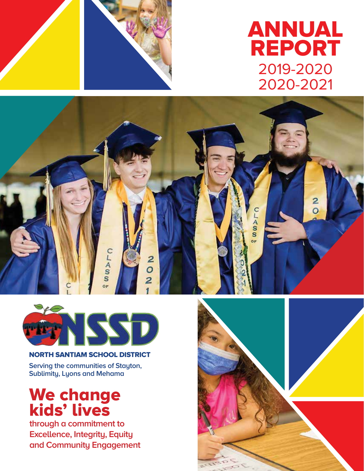

# ANNUAL REPORT 2019-2020 2020-2021





## NORTH SANTIAM SCHOOL DISTRICT

**Serving the communities of Stayton, Sublimity, Lyons and Mehama**

# We change kids' lives

**through a commitment to Excellence, Integrity, Equity and Community Engagement**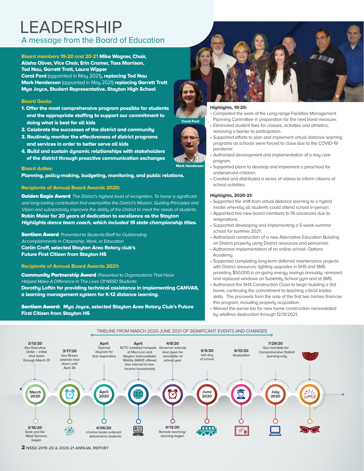# LEADERSHIP A message from the Board of Education

#### Board members 19-20 and 20-21 Mike Wagner, Chair, Alisha Oliver, Vice Chair, Erin Cramer, Tass Morrison, Tod Nau, Garrett Trott, Laura Wipper

Coral Ford (appointed in May 2021), replacing Tod Nau Mark Henderson (appointed in May 2021) replacing Garrett Trott Mya Joyce, Student Representative, Stayton High School

#### Board Goals:

- 1. Offer the most comprehensive program possible for students and the appropriate staffing to support our commitment to doing what is best for all kids
- 2. Celebrate the successes of the district and community

3. Routinely monitor the effectiveness of district programs and services in order to better serve all kids

4. Build and sustain dynamic relationships with stakeholders of the district through proactive communication exchanges

# Mark Henderson

Coral Ford

#### Board duties:

Planning, policy-making, budgeting, monitoring, and public relations.

#### Recipients of Annual Board Awards 2020:

**Golden Eagle Award** The District's highest level of recognition. To honor a significant and long-lasting contribution that exemplifies the District's Mission, Guiding Principles and Vision and substantially improves the ability of the District to meet the needs of students. Robin Meier for 20 years of dedication to excellence as the Stayton Highlights dance team coach, which included 15 state championship titles.

**Santiam Award** Presented to Students/Staff for Outstanding Accomplishments in Citizenship, Work, or Education Carlin Croff, selected Stayton Area Rotary club's Future First Citizen from Stayton HS

#### Recipients of Annual Board Awards 2021:

**Community Partnership Award** Presented to Organizations That Have Helped Make A Difference In The Lives Of NSSD Students: Dorothy Loftin for providing technical assistance in implementing CANVAS, a learning management system for K-12 distance learning.

Santiam Award: Mya Joyce, selected Stayton Area Rotary Club's Future First Citizen from Stayton HS

#### Highlights, 19-20:

- Completed the work of the Long-range Facilities Management Planning Committee in preparation for the next bond measure.
- Eliminated student fees for classes, activities and athletics, removing a barrier to participation.
- Supported efforts to plan and implement virtual distance learning programs as schools were forced to close due to the COVID-19 pandemic
- Authorized development and implementation of a day care program.
- Supported plans to develop and implement a preschool for underserved children.
- Created and distributed a series of videos to inform citizens of school activities.

#### Highlights, 2020-21:

- Supported the shift from virtual distance learning to a hubrid model whereby all students could attend school in-person.
- Appointed two new board members to fill vacancies due to resignations.
- Supported developing and implementing a 5-week summer school for summer 2021.
- Authorized construction of a new Alternative Education Building on District property using District resources and personnel.
- Authorized implementation of an online school: Options Academy.
- Supported completing long-term deferred maintenance projects with District resources: lighting upgrades in SHS and SMS providing \$50,000 in on-going energy savings annually; removed and replaced windows on Sublimity School gym and at SMS.
- Authorized the SHS Construction Class to begin building a 3rd home, continuing the commitment to teaching critical trades skills. The proceeds from the sale of the first two homes finances this program, including property acquisition.
- Waived the excise tax for new home construction necessitated by wildfires destruction through 12/31/2021.



2 **NSSD 2019 -20 & 2020-21 ANNUAL REPORT**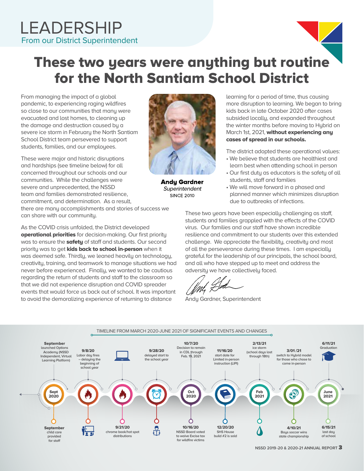# These two years were anything but routine for the North Santiam School District

From managing the impact of a global pandemic, to experiencing raging wildfires so close to our communities that many were evacuated and lost homes, to cleaning up the damage and destruction caused by a severe ice storm in February the North Santiam School District team persevered to support students, families, and our employees.

These were major and historic disruptions and hardships (see timeline below) for all concerned throughout our schools and our communities. While the challenges were severe and unprecedented, the NSSD team and families demonstrated resilience, commitment, and determination. As a result,

there are many accomplishments and stories of success we can share with our community.

As the COVID crisis unfolded, the District developed operational priorities for decision-making. Our first priority was to ensure the **safety** of staff and students. Our second priority was to get kids back to school in-person when it was deemed safe. Thirdly, we leaned heavily on technology, creativity, training, and teamwork to manage situations we had never before experienced. Finally, we wanted to be cautious regarding the return of students and staff to the classroom so that we did not experience disruption and COVID spreader events that would force us back out of school. It was important to avoid the demoralizing experience of returning to distance



**Andy Gardner** Superintendent **SINCF 2010** 

learning for a period of time, thus causing more disruption to learning. We began to bring kids back in late October 2020 after cases subsided locally, and expanded throughout the winter months before moving to Hybrid on March 1st, 2021, without experiencing any cases of spread in our schools.

The district adopted these operational values:

- We believe that students are healthiest and learn best when attending school in person
- Our first duty as educators is the safety of all students, staff and families
- We will move forward in a phased and planned manner which minimizes disruption due to outbreaks of infections.

These two years have been especially challenging as staff, students and families grappled with the effects of the COVID virus. Our families and our staff have shown incredible resilience and commitment to our students over this extended challenge. We appreciate the flexibility, creativity and most of all the perseverance during these times. I am especially grateful for the leadership of our principals, the school board, and all who have stepped up to meet and address the adversity we have collectively faced.

⊄

Andy Gardner, Superintendent

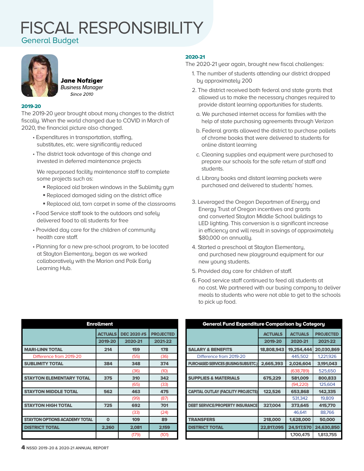# FISCAL RESPONSIBILITY General Budget



**Jane Nofziger Business Manager Since 2010** 

#### 2019-20

The 2019-20 year brought about many changes to the district fiscally. When the world changed due to COVID in March of 2020, the financial picture also changed.

- Expenditures in transportation, staffing, substitutes, etc. were significantly reduced
- The district took advantage of this change and invested in deferred maintenance projects

 We repurposed facility maintenance staff to complete some projects such as:

- Replaced old broken windows in the Sublimity gym
- Replaced damaged siding on the district office
- Replaced old, torn carpet in some of the classrooms
- Food Service staff took to the outdoors and safely delivered food to all students for free
- Provided day care for the children of community health care staff.
- Planning for a new pre-school program, to be located at Stayton Elementary, began as we worked collaboratively with the Marion and Polk Early Learning Hub.

#### 2020-21

The 2020-21 year again, brought new fiscal challenges:

- 1. The number of students attending our district dropped by approximately 200
- 2. The district received both federal and state grants that allowed us to make the necessary changes required to provide distant learning opportunities for students.
	- a. We purchased internet access for families with the help of state purchasing agreements through Verizon
	- b. Federal grants allowed the district to purchase pallets of chrome books that were delivered to students for online distant learning
	- c. Cleaning supplies and equipment were purchased to prepare our schools for the safe return of staff and students.
	- d. Library books and distant learning packets were purchased and delivered to students' homes.
- 3. Leveraged the Oregon Departmen of Energy and Energy Trust of Oregon incentives and grants and converted Stayton Middle School buildings to LED lighting. This conversion is a significant increase in efficiency and will result in savings of approximately \$80,000 on annually.
- 4. Started a preschool at Stayton Elementary, and purchased new playground equipment for our new young students.
- 5. Provided day care for children of staff.
- 6. Food service staff continued to feed all students at no cost. We partnered with our busing company to deliver meals to students who were not able to get to the schools to pick up food.

| <b>General Fund Expenditure Comparison by Category</b> |                |                |                  |  |
|--------------------------------------------------------|----------------|----------------|------------------|--|
|                                                        | <b>ACTUALS</b> | <b>ACTUALS</b> | <b>PROJECTED</b> |  |
|                                                        | 2019-20        | 2020-21        | 2021-22          |  |
| <b>SALARY &amp; BENEFITS</b>                           | 18,808,943     | 19,254,444     | 20,030,869       |  |
| Difference from 2019-20                                |                | 445,502        | 1,221,926        |  |
| PURCHASED SERVICES (BUSING/SUBS/ETC.)                  | 2,665,393      | 2,026,604      | 3,191,043        |  |
|                                                        |                | (638,789)      | 525,650          |  |
| <b>SUPPLIES &amp; MATERIALS</b>                        | 675,229        | 581,009        | 800,833          |  |
|                                                        |                | (94, 220)      | 125,604          |  |
| <b>CAPITAL OUTLAY (FACILITY PROJECTS)</b>              | 122,526        | 653,868        | 142,335          |  |
|                                                        |                | 531,342        | 19,809           |  |
| <b>DEBT SERVICE/PROPERTY INSURANCE</b>                 | 327,004        | 373,645        | 415,770          |  |
|                                                        |                | 46,641         | 88,766           |  |
| <b>TRANSFERS</b>                                       | 218,000        | 1,628,000      | 50,000           |  |
| <b>DISTRICT TOTAL</b>                                  | 22,817,095     | 24,517,570     | 24,630,850       |  |
|                                                        |                | 1,700,475      | 1,813,755        |  |

| <b>Enrollment</b>                    |                |                    |                  |  |  |
|--------------------------------------|----------------|--------------------|------------------|--|--|
|                                      | <b>ACTUALS</b> | <b>DEC 2020 #S</b> | <b>PROJECTED</b> |  |  |
|                                      | 2019-20        | 2020-21            | 2021-22          |  |  |
| <b>MARI-LINN TOTAL</b>               | 214            | 159                | 178              |  |  |
| Difference from 2019-20              |                | (55)               | (36)             |  |  |
| <b>SUBLIMITY TOTAL</b>               | 384            | 348                | 374              |  |  |
|                                      |                | (36)               | (10)             |  |  |
| <b>STAYTON ELEMENTARY TOTAL</b>      | 375            | 310                | 342              |  |  |
|                                      |                | (65)               | (33)             |  |  |
| <b>STAYTON MIDDLE TOTAL</b>          | 562            | 463                | 475              |  |  |
|                                      |                | (99)               | (87)             |  |  |
| <b>STAYTON HIGH TOTAL</b>            | 725            | 692                | 701              |  |  |
|                                      |                | (33)               | (24)             |  |  |
| <b>STAYTON OPTIONS ACADEMY TOTAL</b> | $\mathbf{o}$   | 109                | 89               |  |  |
| <b>DISTRICT TOTAL</b>                | 2,260          | 2,081              | 2,159            |  |  |
|                                      |                | (179)              | (101)            |  |  |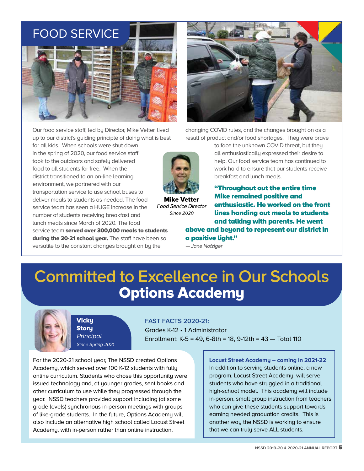

Our food service staff, led by Director, Mike Vetter, lived up to our district's guiding principle of doing what is best

for all kids. When schools were shut down in the spring of 2020, our food service staff took to the outdoors and safely delivered food to all students for free. When the district transitioned to an on-line learning environment, we partnered with our transportation service to use school buses to deliver meals to students as needed. The food service team has seen a HUGE increase in the number of students receiving breakfast and lunch meals since March of 2020. The food service team served over 300.000 meals to students

during the 20-21 school year. The staff have been so versatile to the constant changes brought on by the



changing COVID rules, and the changes brought on as a result of product and/or food shortages. They were brave



**Mike Vetter Food Service Director** Since 2020

to face the unknown COVID threat, but they all enthusiastically expressed their desire to help. Our food service team has continued to work hard to ensure that our students receive breakfast and lunch meals.

"Throughout out the entire time Mike remained positive and enthusiastic. He worked on the front lines handing out meals to students and talking with parents. He went above and beyond to represent our district in a positive light."

— Jane Nofziger

# **Committed to Excellence in Our Schools**  Options Academy



Vicky **Story Principal** Since Spring 2021

**FAST FACTS 2020-21:** Grades K-12 • 1 Administrator Enrollment: K-5 = 49, 6-8th = 18, 9-12th = 43  $-$  Total 110

For the 2020-21 school year, The NSSD created Options Academy, which served over 100 K-12 students with fully online curriculum. Students who chose this opportunity were issued technology and, at younger grades, sent books and other curriculum to use while they progressed through the year. NSSD teachers provided support including (at some grade levels) synchronous in-person meetings with groups of like-grade students. In the future, Options Academy will also include an alternative high school called Locust Street Academy, with in-person rather than online instruction.

**Locust Street Academy – coming in 2021-22** In addition to serving students online, a new program, Locust Street Academy, will serve students who have struggled in a traditional high-school model. This academy will include in-person, small group instruction from teachers who can give these students support towards earning needed graduation credits. This is another way the NSSD is working to ensure that we can truly serve ALL students.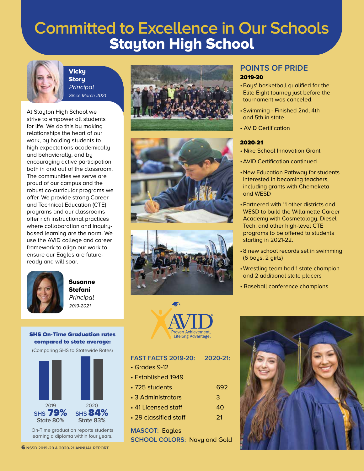# **Committed to Excellence in Our Schools**  Stayton High School



**Vicky Story Principal** Since March 2021

At Stayton High School we strive to empower all students for life. We do this by making relationships the heart of our work, by holding students to high expectations academically and behaviorally, and by encouraging active participation both in and out of the classroom. The communities we serve are proud of our campus and the robust co-curricular programs we offer. We provide strong Career and Technical Education (CTE) programs and our classrooms offer rich instructional practices where collaboration and inquirybased learning are the norm. We use the AVID college and career framework to align our work to ensure our Eagles are futureready and will soar.



#### Susanne Stefani Principal 2019-2021

#### SHS On-Time Graduation rates compared to state average:

(Comparing SHS to Statewide Rates)



On-Time graduation reports students earning a diploma within four years.









#### **FAST FACTS 2019-20: 2020-21:**

- Grades 9-12
- Established 1949
- 725 students 692
- 3 Administrators 3
- 41 Licensed staff 40
- 29 classified staff 21

## **MASCOT:** Eagles **SCHOOL COLORS:** Navy and Gold

## **POINTS OF PRIDE** 2019-20

- •Boys' basketball qualified for the Elite Eight tourney just before the tournament was canceled.
- •Swimming Finished 2nd, 4th and 5th in state
- AVID Certification

#### 2020-21

- Nike School Innovation Grant
- •AVID Certification continued
- New Education Pathway for students interested in becoming teachers, including grants with Chemeketa and WESD
- •Partnered with 11 other districts and WESD to build the Willamette Career Academy with Cosmetology, Diesel Tech, and other high-level CTE programs to be offered to students starting in 2021-22.
- •8 new school records set in swimming (6 boys, 2 girls)
- •Wrestling team had 1 state champion and 2 additional state placers
- Baseball conference champions

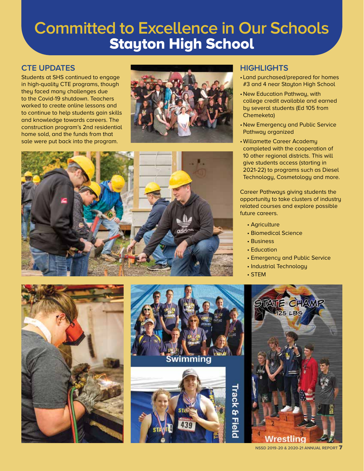# **Committed to Excellence in Our Schools**  Stayton High School

# **CTE UPDATES**

Students at SHS continued to engage in high-quality CTE programs, though they faced many challenges due to the Covid-19 shutdown. Teachers worked to create online lessons and to continue to help students gain skills and knowledge towards careers. The construction program's 2nd residential home sold, and the funds from that sale were put back into the program.





## **HIGHLIGHTS**

- Land purchased/prepared for homes #3 and 4 near Stayton High School
- New Education Pathway, with college credit available and earned by several students (Ed 105 from Chemeketa)
- New Emergency and Public Service Pathway organized
- •Willamette Career Academy completed with the cooperation of 10 other regional districts. This will give students access (starting in 2021-22) to programs such as Diesel Technology, Cosmetology and more.

Career Pathways giving students the opportunity to take clusters of industry related courses and explore possible future careers.

- Agriculture
- Biomedical Science
- Business
- Education
- Emergency and Public Service
- Industrial Technology
- STEM

**Track & Fie** 









**NSSD 2019 -20 & 2020-21 ANNUAL REPORT** 7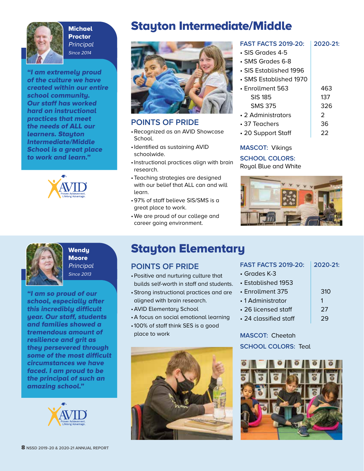

**Proctor Principal** Since 2014

"I am extremely proud of the culture we have created within our entire school community. Our staff has worked hard on instructional practices that meet the needs of ALL our learners. Stayton Intermediate/Middle School is a great place to work and learn."





# **Moore Principal** Since 2013

"I am so proud of our school, especially after this incredibly difficult year. Our staff, students and families showed a tremendous amount of resilience and grit as they persevered through some of the most difficult circumstances we have faced. I am proud to be the principal of such an amazing school."



# Michael Stayton Intermediate/Middle



## **POINTS OF PRIDE**

- •Recognized as an AVID Showcase School.
- •Identified as sustaining AVID schoolwide.
- •Instructional practices align with brain research.
- •Teaching strategies are designed with our belief that ALL can and will learn.
- •97% of staff believe SIS/SMS is a great place to work.
- •We are proud of our college and career going environment.

## **FAST FACTS 2019-20: 2020-21:**

- SIS Grades 4-5 • SMS Grades 6-8
- SIS Established 1996
- SMS Established 1970

| • Enrollment 563   | 463           |
|--------------------|---------------|
| <b>SIS 185</b>     | 137           |
| <b>SMS 375</b>     | 326           |
| • 2 Administrators | $\mathcal{P}$ |
| • 37 Teachers      | 36            |
|                    |               |

• 20 Support Staff | 22

## **MASCOT:** Vikings

#### **SCHOOL COLORS:**  Royal Blue and White



# Wendy **Stayton Elementary**

## **POINTS OF PRIDE**

- •Positive and nurturing culture that builds self-worth in staff and students.
- •Strong instructional practices and are aligned with brain research.
- •AVID Elementary School
- •A focus on social emotional learning
- •100% of staff think SES is a good place to work



| <b>FAST FACTS 2019-20:</b> | 2020-21: |
|----------------------------|----------|
| $\cdot$ Grades K-3         |          |
| $\cdot$ Established 1953   |          |
| • Enrollment 375           | 310      |
| • 1 Administrator          | 1        |
| • 26 licensed staff        | 27       |
| • 24 classified staff      |          |
|                            |          |

**MASCOT:** Cheetah **SCHOOL COLORS:** Teal

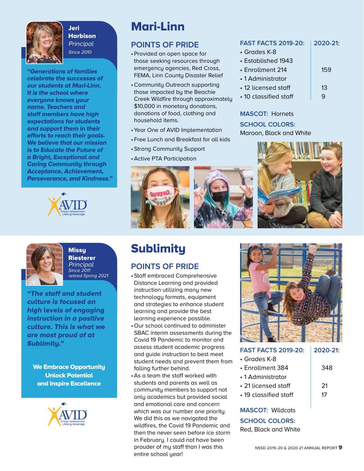

Harbison **Principal** Since 2010

"Generations of families celebrate the successes of our students at Mari-Linn. It is the school where everyone knows your name. Teachers and staff members have high expectations for students and support them in their efforts to reach their goals. We believe that our mission is to Educate the Future of a Bright, Exceptional and Caring Community through Acceptance, Achievement, Perseverance, and Kindness."





Riesterer **Principal** Since 2011 retired Spring 2021

"The staff and student culture is focused on high levels of engaging instruction in a positive culture. This is what we are most proud of at Sublimity."

We Embrace Opportunity Unlock Potential and Inspire Excellence



# Jeri Mari-Linn

# **POINTS OF PRIDE**

- •Provided an open space for those seeking resources through emergency agencies, Red Cross, FEMA, Linn County Disaster Relief
- •Community Outreach supporting those impacted by the Beachie Creek Wildfire through approximately \$10,000 in monetary donations, donations of food, clothing and household items.
- •Year One of AVID Implementation
- Free Lunch and Breakfast for all kids
- •Strong Community Support
- •Active PTA Participation



# Missy Sublimity

# **POINTS OF PRIDE**

- •Staff embraced Comprehensive Distance Learning and provided instruction utilizing many new technology formats, equipment and strategies to enhance student learning and provide the best learning experience possible.
- •Our school continued to administer SBAC interim assessments during the Covid 19 Pandemic to monitor and assess student academic progress and guide instruction to best meet student needs and prevent them from falling further behind.
- •As a team the staff worked with students and parents as well as community members to support not only academics but provided social and emotional care and concern which was our number one priority. We did this as we navigated the wildfires, the Covid 19 Pandemic and then the never seen before ice storm in February. I could not have been prouder of my staff than I was this entire school year!

## **FAST FACTS 2019-20: 2020-21:**

- Grades K-8
- Established 1943 • Enrollment 214 | 159
- 1 Administrator
- 
- $\cdot$  12 licensed staff  $\vert$  13
- $\cdot$  10 classified staff  $\vert$  9

## **MASCOT:** Hornets

### **SCHOOL COLORS:**  Maroon, Black and White





## **FAST FACTS 2019-20: 2020-21:**

- Grades K-8  $\cdot$  Enrollment 384  $\vert$  348 • 1 Administrator • 21 licensed staff 21
- $\cdot$  19 classified staff  $\vert$  17

**MASCOT:** Wildcats **SCHOOL COLORS:**  Red, Black and White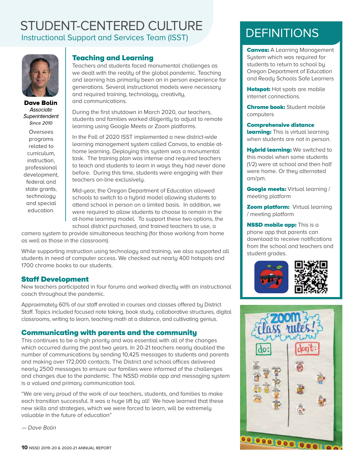# STUDENT-CENTERED CULTURE Instructional Support and Services Team (ISST)



**Dave Bolin** Associate Superintendent Since 2010

Oversees programs related to curriculum. instruction. professional development. federal and state grants, technology and special education.

## Teaching and Learning

Teachers and students faced monumental challenges as we dealt with the reality of the global pandemic. Teaching and learning has primarily been an in person experience for generations. Several instructional models were necessary and required training, technology, creativity, and communications.

During the first shutdown in March 2020, our teachers, students and families worked diligently to adjust to remote learning using Google Meets or Zoom platforms.

In the Fall of 2020 ISST implemented a new district-wide learning management system called Canvas, to enable athome learning. Deploying this system was a monumental task. The training plan was intense and required teachers to teach and students to learn in ways they had never done before. During this time, students were engaging with their teachers on-line exclusively.

Mid-year, the Oregon Department of Education allowed schools to switch to a hybrid model allowing students to attend school in person on a limited basis. In addition, we were required to allow students to choose to remain in the at-home learning model. To support these two options, the school district purchased, and trained teachers to use, a

camera system to provide simultaneous teaching (for those working from home as well as those in the classroom).

While supporting instruction using technology and training, we also supported all students in need of computer access. We checked out nearly 400 hotspots and 1700 chrome books to our students.

## Staff Development

New teachers participated in four forums and worked directly with an instructional coach throughout the pandemic.

Approximately 60% of our staff enrolled in courses and classes offered by District Staff. Topics included focused note taking, book study, collaborative structures, digital classrooms, writing to learn, teaching math at a distance, and cultivating genius.

## Communicating with parents and the community

This continues to be a high priority and was essential with all of the changes which occurred during the past two years. In 20-21 teachers nearly doubled the number of communications by sending 10,425 messages to students and parents and making over 172,000 contacts. The District and school offices delivered nearly 2500 messages to ensure our families were informed of the challenges and changes due to the pandemic. The NSSD mobile app and messaging system is a valued and primary communication tool.

"We are very proud of the work of our teachers, students, and families to make each transition successful. It was a huge lift by all! We have learned that these new skills and strategies, which we were forced to learn, will be extremely valuable in the future of education"

# **DEFINITIONS**

**Canvas:** A Learning Management System which was required for students to return to school by Oregon Department of Education and Ready Schools Safe Learners

Hotspot: Hot spots are mobile internet connections.

**Chrome book: Student mobile** computers

Comprehensive distance

**learning:** This is virtual learning when students are not in person.

**Hybrid learning:** We switched to this model when some students (1/2) were at school and then half were home. Or they alternated am/pm.

Google meets: Virtual learning / meeting platform

**Zoom platform: Virtual learning** / meeting platform

NSSD mobile app: This is a phone app that parents can download to receive notifications from the school and teachers and student grades.





— Dave Bolin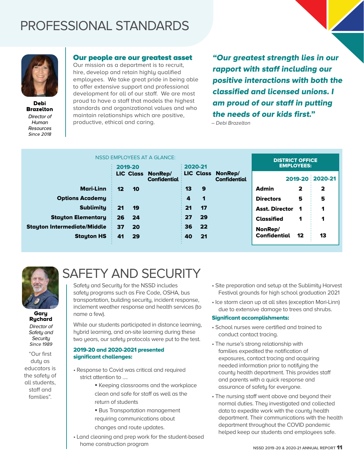# PROFESSIONAL STANDARDS



**Debi Brazelton** Director of Human Resources **Since 2018** 

## Our people are our greatest asset

Our mission as a department is to recruit, hire, develop and retain highly qualified employees. We take great pride in being able to offer extensive support and professional development for all of our staff. We are most proud to have a staff that models the highest standards and organizational values and who maintain relationships which are positive, productive, ethical and caring.

"Our greatest strength lies in our rapport with staff including our positive interactions with both the classified and licensed unions. I am proud of our staff in putting the needs of our kids first."

– Debi Brazelton

|                                    | <b>NSSD EMPLOYEES AT A GLANCE:</b><br>$2019-20$ | $\frac{1}{2}$ 2020-21                              | <b>DISTRICT OFFICE</b><br><b>EMPLOYEES:</b> |
|------------------------------------|-------------------------------------------------|----------------------------------------------------|---------------------------------------------|
|                                    | LIC Class NonRep/<br><b>Confidential</b> :      | <b>LIC Class</b><br>NonRep/<br><b>Confidential</b> | 2019-20 2020-21                             |
| <b>Mari-Linn</b>                   | 12<br>10                                        | 13<br>9                                            | <b>Admin</b><br>2<br>2                      |
| <b>Options Academy</b>             |                                                 | 4<br>1                                             | 5<br><b>Directors</b><br>5                  |
| <b>Sublimity</b>                   | 21<br>19                                        | 17<br>21                                           | <b>Asst. Director 1</b><br>1                |
| <b>Stayton Elementary</b>          | 26<br>24                                        | 27<br>29                                           | <b>Classified</b><br>1<br>1                 |
| <b>Stayton Intermediate/Middle</b> | 20<br>37                                        | 22<br>$\approx$ 36                                 | NonRep/                                     |
| <b>Stayton HS</b>                  | 29<br>41                                        | 21<br>$\div$ 40                                    | Confidential<br>13<br>12                    |



Gary Rychard Director of Safety and **Security** Since 1989

"Our first dutu as educators is the safety of all students, staff and families".

# SAFETY AND SECURITY

Safety and Security for the NSSD includes safety programs such as Fire Code, OSHA, bus transportation, building security, incident response, inclement weather response and health services (to name a few).

While our students participated in distance learning, hybrid learning, and on-site learning during these two years, our safety protocols were put to the test.

#### 2019-20 and 2020-2021 presented significant challenges:

- Response to Covid was critical and required strict attention to ….
	- § Keeping classrooms and the workplace clean and safe for staff as well as the return of students
	- **Bus Transportation management**  requiring communications about changes and route updates.
- Land cleaning and prep work for the student-based home construction program
- Site preparation and setup at the Sublimity Harvest Festival grounds for high school graduation 2021
- Ice storm clean up at all sites (exception Mari-Linn) due to extensive damage to trees and shrubs.

#### Significant accomplishments:

- School nurses were certified and trained to conduct contact tracing.
- The nurse's strong relationship with families expedited the notification of exposures, contact tracing and acquiring needed information prior to notifying the county health department. This provides staff and parents with a quick response and assurance of safety for everyone.
- The nursing staff went above and beyond their normal duties. They investigated and collected data to expedite work with the county health department. Their communications with the health department throughout the COVID pandemic helped keep our students and employees safe.